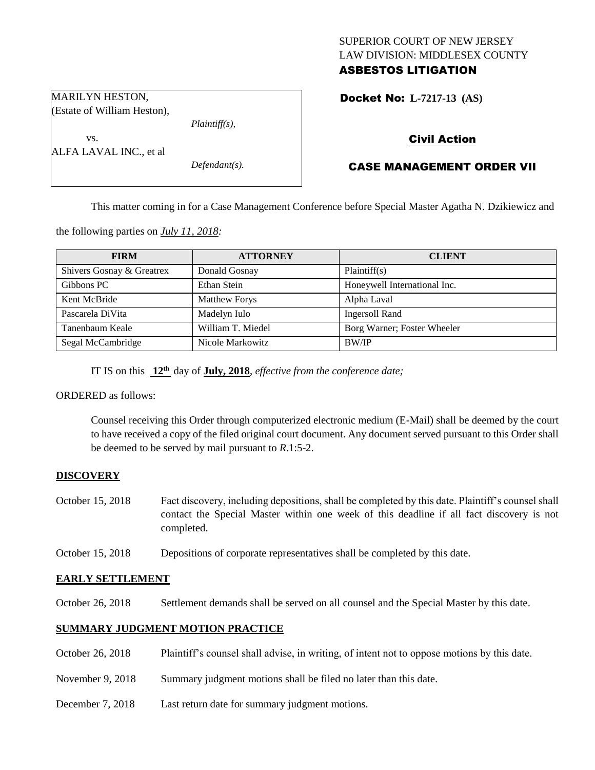## SUPERIOR COURT OF NEW JERSEY LAW DIVISION: MIDDLESEX COUNTY ASBESTOS LITIGATION

Docket No: **L-7217-13 (AS)** 

Civil Action

# CASE MANAGEMENT ORDER VII

This matter coming in for a Case Management Conference before Special Master Agatha N. Dzikiewicz and

the following parties on *July 11, 2018:*

| <b>FIRM</b>               | <b>ATTORNEY</b>      | <b>CLIENT</b>                |
|---------------------------|----------------------|------------------------------|
| Shivers Gosnay & Greatrex | Donald Gosnay        | Plaintiff(s)                 |
| Gibbons PC                | Ethan Stein          | Honeywell International Inc. |
| Kent McBride              | <b>Matthew Forys</b> | Alpha Laval                  |
| Pascarela DiVita          | Madelyn Iulo         | Ingersoll Rand               |
| Tanenbaum Keale           | William T. Miedel    | Borg Warner; Foster Wheeler  |
| Segal McCambridge         | Nicole Markowitz     | <b>BW/IP</b>                 |

IT IS on this **12th** day of **July, 2018**, *effective from the conference date;*

ORDERED as follows:

Counsel receiving this Order through computerized electronic medium (E-Mail) shall be deemed by the court to have received a copy of the filed original court document. Any document served pursuant to this Order shall be deemed to be served by mail pursuant to *R*.1:5-2.

## **DISCOVERY**

- October 15, 2018 Fact discovery, including depositions, shall be completed by this date. Plaintiff's counsel shall contact the Special Master within one week of this deadline if all fact discovery is not completed.
- October 15, 2018 Depositions of corporate representatives shall be completed by this date.

## **EARLY SETTLEMENT**

October 26, 2018 Settlement demands shall be served on all counsel and the Special Master by this date.

## **SUMMARY JUDGMENT MOTION PRACTICE**

- October 26, 2018 Plaintiff's counsel shall advise, in writing, of intent not to oppose motions by this date.
- November 9, 2018 Summary judgment motions shall be filed no later than this date.
- December 7, 2018 Last return date for summary judgment motions.

MARILYN HESTON, (Estate of William Heston),

*Plaintiff(s),*

*Defendant(s).*

vs. ALFA LAVAL INC., et al